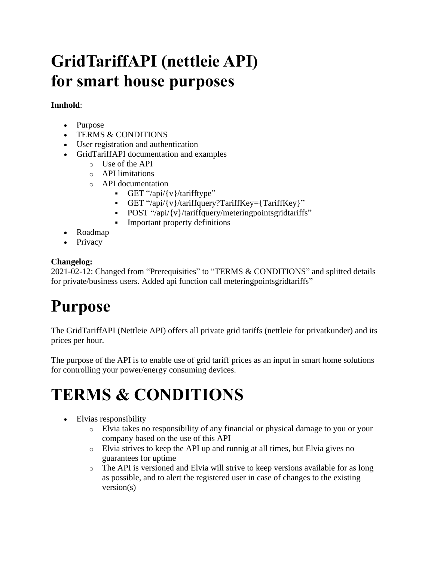# **GridTariffAPI (nettleie API) for smart house purposes**

### **Innhold**:

- Purpose
- TERMS & CONDITIONS
- User registration and authentication
- GridTariffAPI documentation and examples
	- o Use of the API
	- o API limitations
	- o API documentation
		- $\bullet$  GET "/api/{v}/tarifftype"
		- GET "/api/{v}/tariffquery?TariffKey={TariffKey}"
		- POST "/api/{v}/tariffquery/meteringpointsgridtariffs"
		- Important property definitions
- Roadmap
- Privacy

#### **Changelog:**

2021-02-12: Changed from "Prerequisities" to "TERMS & CONDITIONS" and splitted details for private/business users. Added api function call meteringpointsgridtariffs"

# **Purpose**

The GridTariffAPI (Nettleie API) offers all private grid tariffs (nettleie for privatkunder) and its prices per hour.

The purpose of the API is to enable use of grid tariff prices as an input in smart home solutions for controlling your power/energy consuming devices.

## **TERMS & CONDITIONS**

- Elvias responsibility
	- o Elvia takes no responsibility of any financial or physical damage to you or your company based on the use of this API
	- o Elvia strives to keep the API up and runnig at all times, but Elvia gives no guarantees for uptime
	- $\circ$  The API is versioned and Elvia will strive to keep versions available for as long as possible, and to alert the registered user in case of changes to the existing version(s)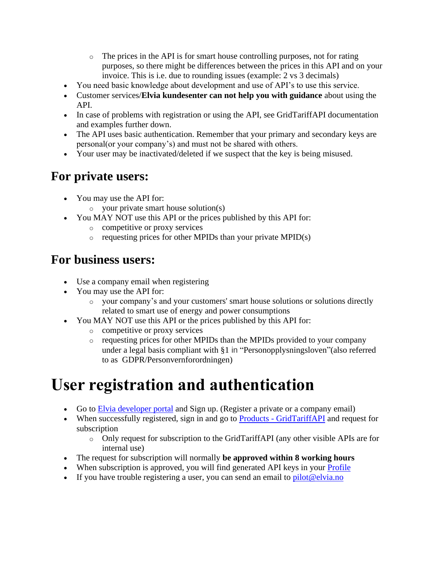- $\circ$  The prices in the API is for smart house controlling purposes, not for rating purposes, so there might be differences between the prices in this API and on your invoice. This is i.e. due to rounding issues (example: 2 vs 3 decimals)
- You need basic knowledge about development and use of API's to use this service.
- Customer services/**Elvia kundesenter can not help you with guidance** about using the API.
- In case of problems with registration or using the API, see GridTariffAPI documentation and examples further down.
- The API uses basic authentication. Remember that your primary and secondary keys are personal(or your company's) and must not be shared with others.
- Your user may be inactivated/deleted if we suspect that the key is being misused.

## **For private users:**

- You may use the API for:
	- o your private smart house solution(s)
- You MAY NOT use this API or the prices published by this API for:
	- o competitive or proxy services
	- $\circ$  requesting prices for other MPIDs than your private MPID(s)

## **For business users:**

- Use a company email when registering
- You may use the API for:
	- o your company's and your customers' smart house solutions or solutions directly related to smart use of energy and power consumptions
- You MAY NOT use this API or the prices published by this API for:
	- o competitive or proxy services
	- o requesting prices for other MPIDs than the MPIDs provided to your company under a legal basis compliant with §1 in "Personopplysningsloven"(also referred to as GDPR/Personvernforordningen)

## **User registration and authentication**

- Go to [Elvia developer portal](https://elvia.portal.azure-api.net/) and Sign up. (Register a private or a company email)
- When successfully registered, sign in and go to Products [GridTariffAPI](https://elvia.portal.azure-api.net/products/grid-tariff) and request for subscription
	- o Only request for subscription to the GridTariffAPI (any other visible APIs are for internal use)
- The request for subscription will normally **be approved within 8 working hours**
- When subscription is approved, you will find generated API keys in your **Profile**
- If you have trouble registering a user, you can send an email to  $pilot@elvia.no$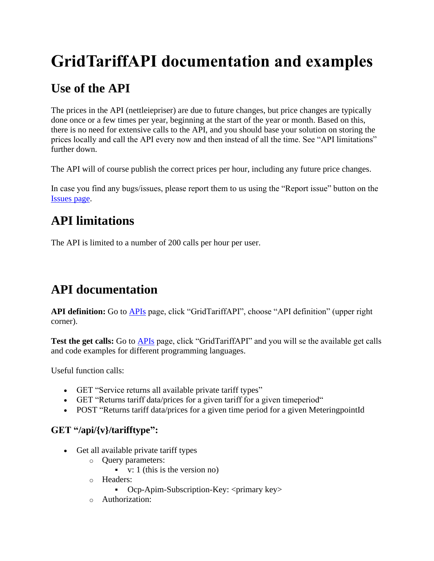# **GridTariffAPI documentation and examples**

## **Use of the API**

The prices in the API (nettleiepriser) are due to future changes, but price changes are typically done once or a few times per year, beginning at the start of the year or month. Based on this, there is no need for extensive calls to the API, and you should base your solution on storing the prices locally and call the API every now and then instead of all the time. See "API limitations" further down.

The API will of course publish the correct prices per hour, including any future price changes.

In case you find any bugs/issues, please report them to us using the "Report issue" button on the [Issues page.](https://elvia.portal.azure-api.net/issues)

## **API limitations**

The API is limited to a number of 200 calls per hour per user.

## **API documentation**

**API definition:** Go to [APIs](https://elvia.portal.azure-api.net/docs/services/) page, click "GridTariffAPI", choose "API definition" (upper right corner).

**Test the get calls:** Go to [APIs](https://elvia.portal.azure-api.net/docs/services/) page, click "GridTariffAPI" and you will se the available get calls and code examples for different programming languages.

Useful function calls:

- GET "Service returns all available private tariff types"
- GET "Returns tariff data/prices for a given tariff for a given timeperiod"
- POST "Returns tariff data/prices for a given time period for a given Metering point Id

### **GET "/api/{v}/tarifftype":**

- Get all available private tariff types
	- o Query parameters:
		- $\bullet$  v: 1 (this is the version no)
	- o Headers:
		- Ocp-Apim-Subscription-Key: <primary key>
	- o Authorization: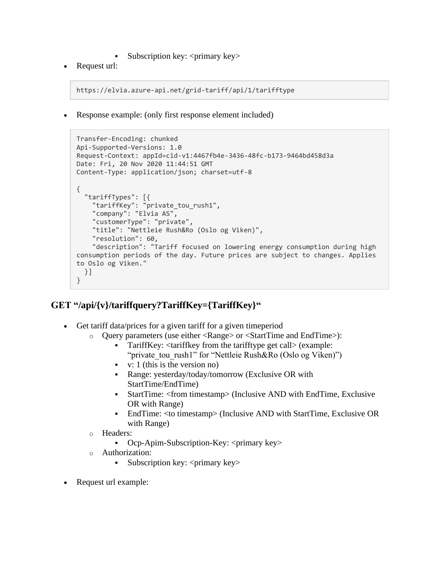- Subscription key:  $\langle$ primary key $\rangle$
- Request url:

```
https://elvia.azure-api.net/grid-tariff/api/1/tarifftype
```
• Response example: (only first response element included)

```
Transfer-Encoding: chunked
Api-Supported-Versions: 1.0
Request-Context: appId=cid-v1:4467fb4e-3436-48fc-b173-9464bd458d3a
Date: Fri, 20 Nov 2020 11:44:51 GMT
Content-Type: application/json; charset=utf-8
{
   "tariffTypes": [{
 "tariffKey": "private_tou_rush1",
 "company": "Elvia AS",
     "customerType": "private",
     "title": "Nettleie Rush&Ro (Oslo og Viken)",
     "resolution": 60,
     "description": "Tariff focused on lowering energy consumption during high 
consumption periods of the day. Future prices are subject to changes. Applies 
to Oslo og Viken."
  }]
}
```
### **GET "/api/{v}/tariffquery?TariffKey={TariffKey}"**

- Get tariff data/prices for a given tariff for a given timeperiod
	- o Query parameters (use either <Range> or <StartTime and EndTime>):
		- TariffKey: <tariffkey from the tarifftype get call> (example: "private tou rush1" for "Nettleie Rush&Ro (Oslo og Viken)")
		- $\bullet$  v: 1 (this is the version no)
		- Range: yesterday/today/tomorrow (Exclusive OR with StartTime/EndTime)
		- StartTime: <from timestamp> (Inclusive AND with EndTime, Exclusive OR with Range)
		- EndTime: <to timestamp> (Inclusive AND with StartTime, Exclusive OR with Range)
	- o Headers:
		- Ocp-Apim-Subscription-Key: <primary key>
	- o Authorization:
		- Subscription key:  $\langle$ primary key $\rangle$
- Request url example: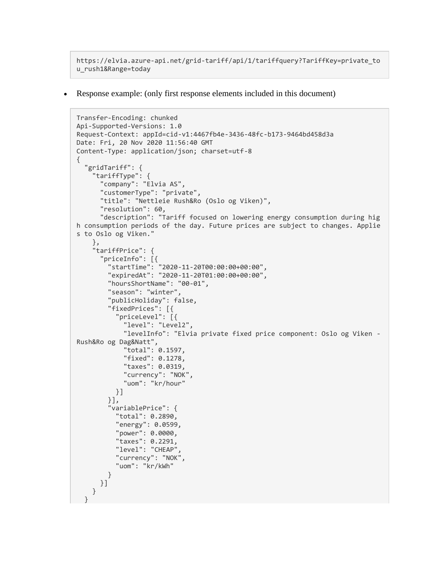```
https://elvia.azure-api.net/grid-tariff/api/1/tariffquery?TariffKey=private_to
u_rush1&Range=today
```
• Response example: (only first response elements included in this document)

```
Transfer-Encoding: chunked
Api-Supported-Versions: 1.0
Request-Context: appId=cid-v1:4467fb4e-3436-48fc-b173-9464bd458d3a
Date: Fri, 20 Nov 2020 11:56:40 GMT
Content-Type: application/json; charset=utf-8
{
   "gridTariff": {
 "tariffType": {
 "company": "Elvia AS",
       "customerType": "private",
       "title": "Nettleie Rush&Ro (Oslo og Viken)",
       "resolution": 60,
       "description": "Tariff focused on lowering energy consumption during hig
h consumption periods of the day. Future prices are subject to changes. Applie
s to Oslo og Viken."
     },
     "tariffPrice": {
 "priceInfo": [{
 "startTime": "2020-11-20T00:00:00+00:00",
         "expiredAt": "2020-11-20T01:00:00+00:00",
         "hoursShortName": "00-01",
         "season": "winter",
         "publicHoliday": false,
         "fixedPrices": [{
           "priceLevel": [{
             "level": "Level2",
             "levelInfo": "Elvia private fixed price component: Oslo og Viken -
Rush&Ro og Dag&Natt",
             "total": 0.1597,
             "fixed": 0.1278,
             "taxes": 0.0319,
             "currency": "NOK",
             "uom": "kr/hour"
           }]
         }],
         "variablePrice": {
           "total": 0.2890,
           "energy": 0.0599,
           "power": 0.0000,
           "taxes": 0.2291,
           "level": "CHEAP",
           "currency": "NOK",
           "uom": "kr/kWh"
         }
      }]
     }
   }
```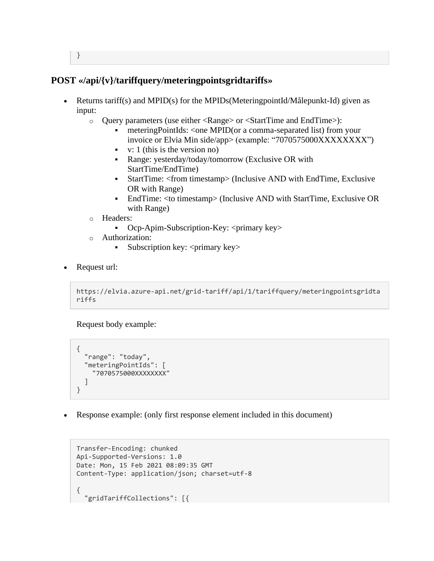#### }

#### **POST «/api/{v}/tariffquery/meteringpointsgridtariffs»**

- Returns tariff(s) and MPID(s) for the MPIDs(MeteringpointId/Målepunkt-Id) given as input:
	- o Query parameters (use either <Range> or <StartTime and EndTime>):
		- meteringPointIds: <one MPID(or a comma-separated list) from your invoice or Elvia Min side/app> (example: "7070575000XXXXXXXX")
		- $v: 1$  (this is the version no)
		- Range: yesterday/today/tomorrow (Exclusive OR with StartTime/EndTime)
		- StartTime: <from timestamp> (Inclusive AND with EndTime, Exclusive OR with Range)
		- EndTime: <to timestamp> (Inclusive AND with StartTime, Exclusive OR with Range)
	- o Headers:
		- Ocp-Apim-Subscription-Key: <primary key>
	- o Authorization:
		- **•** Subscription key:  $\langle$ primary key>
- Request url:

```
https://elvia.azure-api.net/grid-tariff/api/1/tariffquery/meteringpointsgridta
riffs
```
Request body example:

```
{
   "range": "today",
   "meteringPointIds": [
     "7070575000XXXXXXXX"
   ]
}
```
• Response example: (only first response element included in this document)

```
Transfer-Encoding: chunked
Api-Supported-Versions: 1.0
Date: Mon, 15 Feb 2021 08:09:35 GMT
Content-Type: application/json; charset=utf-8
{
   "gridTariffCollections": [{
```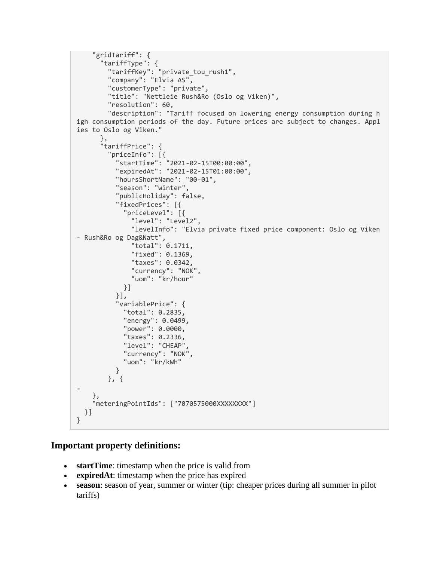```
 "gridTariff": {
       "tariffType": {
         "tariffKey": "private_tou_rush1",
         "company": "Elvia AS",
         "customerType": "private",
         "title": "Nettleie Rush&Ro (Oslo og Viken)",
         "resolution": 60,
         "description": "Tariff focused on lowering energy consumption during h
igh consumption periods of the day. Future prices are subject to changes. Appl
ies to Oslo og Viken."
       },
       "tariffPrice": {
         "priceInfo": [{
           "startTime": "2021-02-15T00:00:00",
           "expiredAt": "2021-02-15T01:00:00",
           "hoursShortName": "00-01",
           "season": "winter",
           "publicHoliday": false,
           "fixedPrices": [{
              "priceLevel": [{
                "level": "Level2",
                "levelInfo": "Elvia private fixed price component: Oslo og Viken 
- Rush&Ro og Dag&Natt",
                "total": 0.1711,
                "fixed": 0.1369,
                "taxes": 0.0342,
                "currency": "NOK",
                "uom": "kr/hour"
             }]
           }],
            "variablePrice": {
             "total": 0.2835,
             "energy": 0.0499,
             "power": 0.0000,
             "taxes": 0.2336,
             "level": "CHEAP",
             "currency": "NOK",
              "uom": "kr/kWh"
           }
         }, {
…
     },
     "meteringPointIds": ["7070575000XXXXXXXX"]
  }]
}
```
#### **Important property definitions:**

- **startTime**: timestamp when the price is valid from
- **expiredAt**: timestamp when the price has expired
- **season**: season of year, summer or winter (tip: cheaper prices during all summer in pilot tariffs)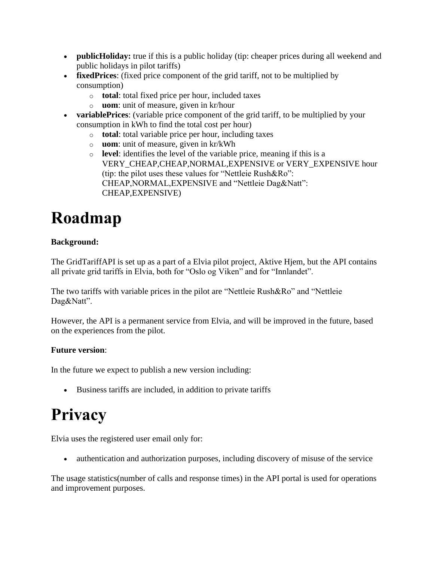- **publicHoliday:** true if this is a public holiday (tip: cheaper prices during all weekend and public holidays in pilot tariffs)
- **fixedPrices**: (fixed price component of the grid tariff, not to be multiplied by consumption)
	- o **total**: total fixed price per hour, included taxes
	- o **uom**: unit of measure, given in kr/hour
- **variablePrices**: (variable price component of the grid tariff, to be multiplied by your consumption in kWh to find the total cost per hour)
	- o **total**: total variable price per hour, including taxes
	- o **uom**: unit of measure, given in kr/kWh
	- o **level**: identifies the level of the variable price, meaning if this is a VERY\_CHEAP,CHEAP,NORMAL,EXPENSIVE or VERY\_EXPENSIVE hour (tip: the pilot uses these values for "Nettleie Rush&Ro": CHEAP,NORMAL,EXPENSIVE and "Nettleie Dag&Natt": CHEAP,EXPENSIVE)

# **Roadmap**

#### **Background:**

The GridTariffAPI is set up as a part of a Elvia pilot project, Aktive Hjem, but the API contains all private grid tariffs in Elvia, both for "Oslo og Viken" and for "Innlandet".

The two tariffs with variable prices in the pilot are "Nettleie Rush&Ro" and "Nettleie Dag&Natt".

However, the API is a permanent service from Elvia, and will be improved in the future, based on the experiences from the pilot.

### **Future version**:

In the future we expect to publish a new version including:

• Business tariffs are included, in addition to private tariffs

# **Privacy**

Elvia uses the registered user email only for:

• authentication and authorization purposes, including discovery of misuse of the service

The usage statistics(number of calls and response times) in the API portal is used for operations and improvement purposes.